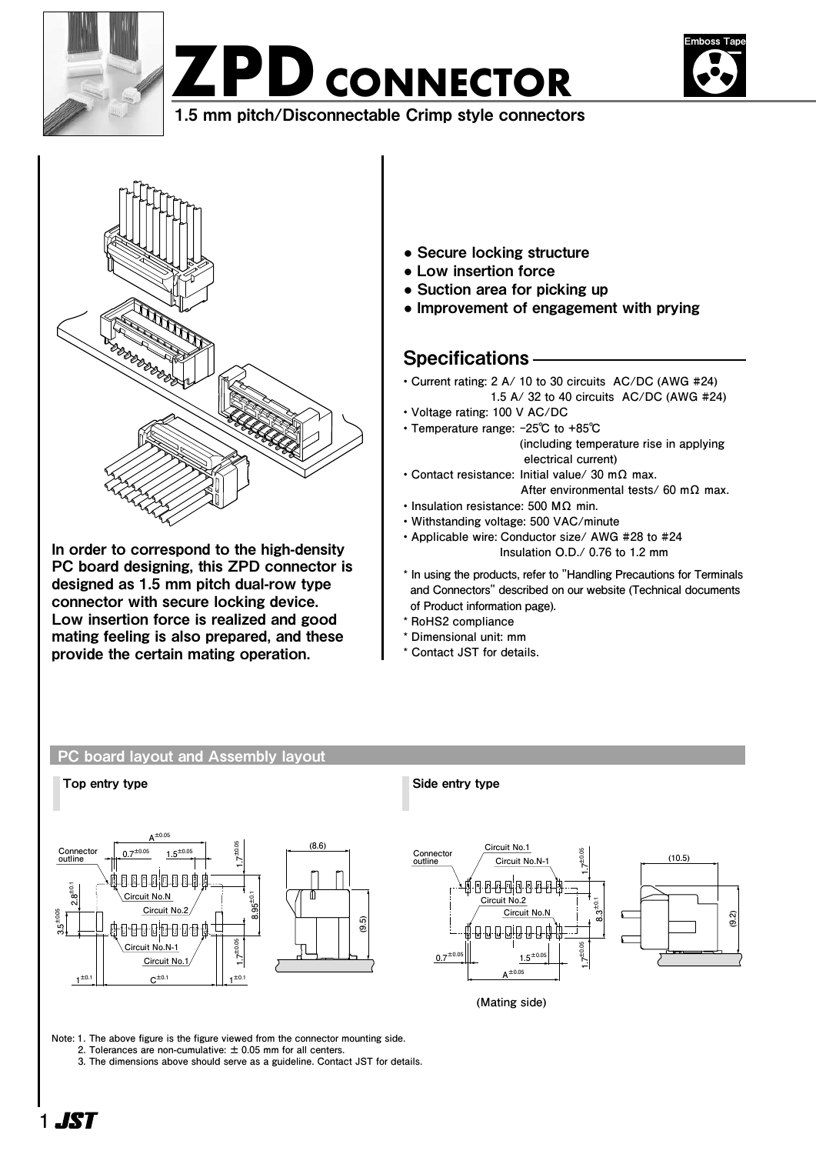





1.5 mm pitch/Disconnectable Crimp style connectors 1.5 mm pitch/Disconnectable Crimp style connectors



In order to correspond to the high-density PC board designing, this ZPD connector is designed as 1.5 mm pitch dual-row type connector with secure locking device. Low insertion force is realized and good mating feeling is also prepared, and these provide the certain mating operation.

- Secure locking structure
- Low insertion force
- Suction area for picking up
- Improvement of engagement with prying

# Specifications

- **Current rating: 2 A/ 10 to 30 circuits AC/DC (AWG #24) 1.5 A/ 32 to 40 circuits AC/DC (AWG #24)**
- **Voltage rating: 100 V AC/DC**
- **Temperature range: -25℃ to +85℃ (including temperature rise in applying electrical current)**
- **Contact resistance: Initial value/ 30 mΩ max. After environmental tests/ 60 mΩ max.**
- **Insulation resistance: 500 MΩ min.**
- **Withstanding voltage: 500 VAC/minute**
- **Applicable wire: Conductor size/ AWG #28 to #24 Insulation O.D./ 0.76 to 1.2 mm**
- **\* In using the products, refer to "Handling Precautions for Terminals and Connectors" described on our website (Technical documents of Product information page).**
- **\* RoHS2 compliance**
- **\* Dimensional unit: mm**
- **\* Contact JST for details.**

# PC board layout and Assembly layout





**8.3±0.1**

**1.7±0.05**

**1.7±0.05**

**(Mating side)**

**Note:  1. The above figure is the figure viewed from the connector mounting side. 2. Tolerances are non-cumulative: ± 0.05 mm for all centers.**

 **3. The dimensions above should serve as a guideline. Contact JST for details.**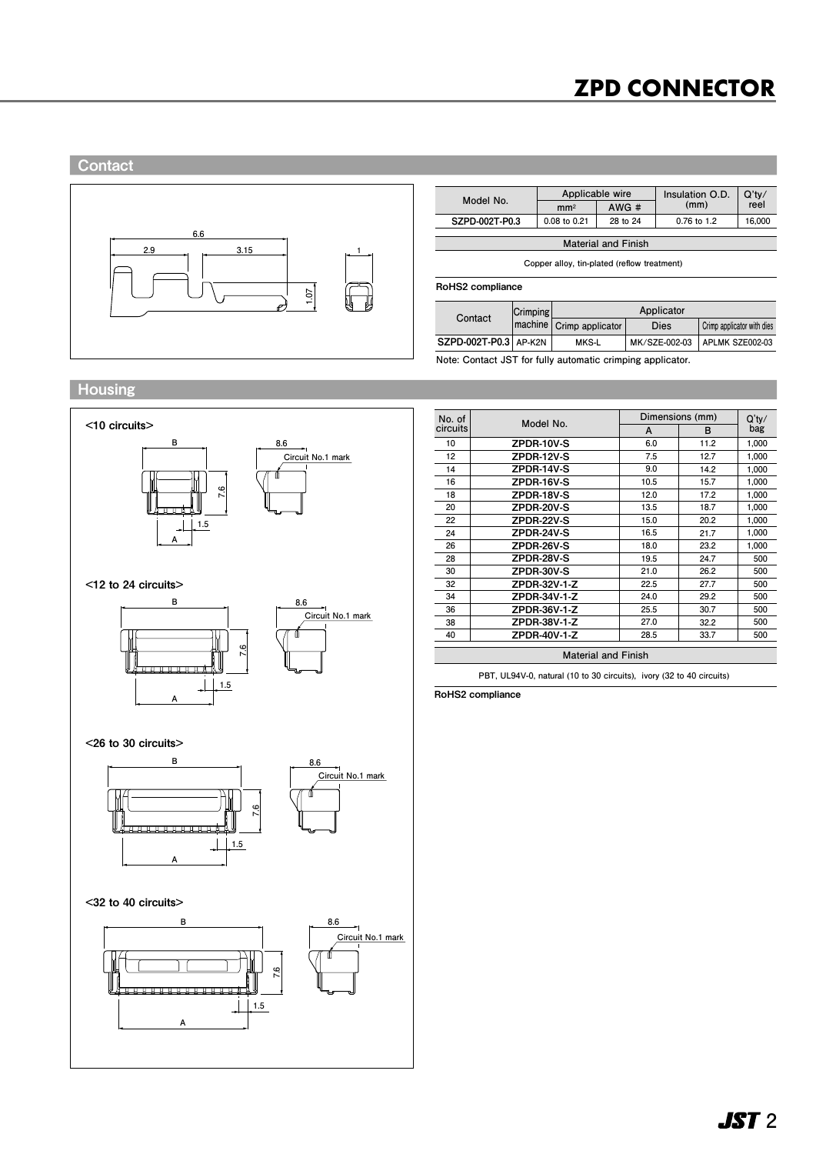# **ZPD CONNECTOR**



|                | Applicable wire |                            | Insulation O.D. | Q'tv/  |  |
|----------------|-----------------|----------------------------|-----------------|--------|--|
| Model No.      | mm <sub>2</sub> | AWG#                       | (mm)            | reel   |  |
| SZPD-002T-P0.3 | 0.08 to 0.21    | 28 to 24                   | $0.76$ to 1.2   | 16.000 |  |
|                |                 | <b>Material and Finish</b> |                 |        |  |

**Copper alloy, tin-plated (reflow treatment)**

#### RoHS2 compliance

| Contact               | $ C$ rimping | Applicator                 |               |                            |  |  |  |
|-----------------------|--------------|----------------------------|---------------|----------------------------|--|--|--|
|                       |              | (machine Crimp applicator) | <b>Dies</b>   | Crimp applicator with dies |  |  |  |
| SZPD-002T-P0.3 AP-K2N |              | <b>MKS-L</b>               | MK/SZE-002-03 | APLMK SZE002-03            |  |  |  |

**Note: Contact JST for fully automatic crimping applicator.**

# Housing

**Contact** 



| No. of   | Model No.                  | Dimensions (mm) | $Q'$ ty/ |       |
|----------|----------------------------|-----------------|----------|-------|
| circuits |                            | A               | B        | bag   |
| 10       | ZPDR-10V-S                 | 6.0             | 11.2     | 1,000 |
| 12       | ZPDR-12V-S                 | 7.5             | 12.7     | 1.000 |
| 14       | ZPDR-14V-S                 | 9.0             | 14.2     | 1,000 |
| 16       | ZPDR-16V-S                 | 10.5            | 15.7     | 1,000 |
| 18       | ZPDR-18V-S                 | 12.0            | 17.2     | 1,000 |
| 20       | ZPDR-20V-S                 | 13.5            | 18.7     | 1,000 |
| 22       | ZPDR-22V-S                 | 15.0            | 20.2     | 1,000 |
| 24       | ZPDR-24V-S                 | 16.5            | 21.7     | 1,000 |
| 26       | ZPDR-26V-S                 | 18.0            | 23.2     | 1,000 |
| 28       | ZPDR-28V-S                 | 19.5            | 24.7     | 500   |
| 30       | ZPDR-30V-S                 | 21.0            | 26.2     | 500   |
| 32       | ZPDR-32V-1-Z               | 22.5            | 27.7     | 500   |
| 34       | ZPDR-34V-1-Z               | 24.0            | 29.2     | 500   |
| 36       | ZPDR-36V-1-Z               | 25.5            | 30.7     | 500   |
| 38       | ZPDR-38V-1-Z               | 27.0            | 32.2     | 500   |
| 40       | ZPDR-40V-1-Z               | 28.5            | 33.7     | 500   |
|          |                            |                 |          |       |
|          | <b>Material and Finish</b> |                 |          |       |

**PBT, UL94V-0, natural (10 to 30 circuits), ivory (32 to 40 circuits)** 

RoHS2 compliance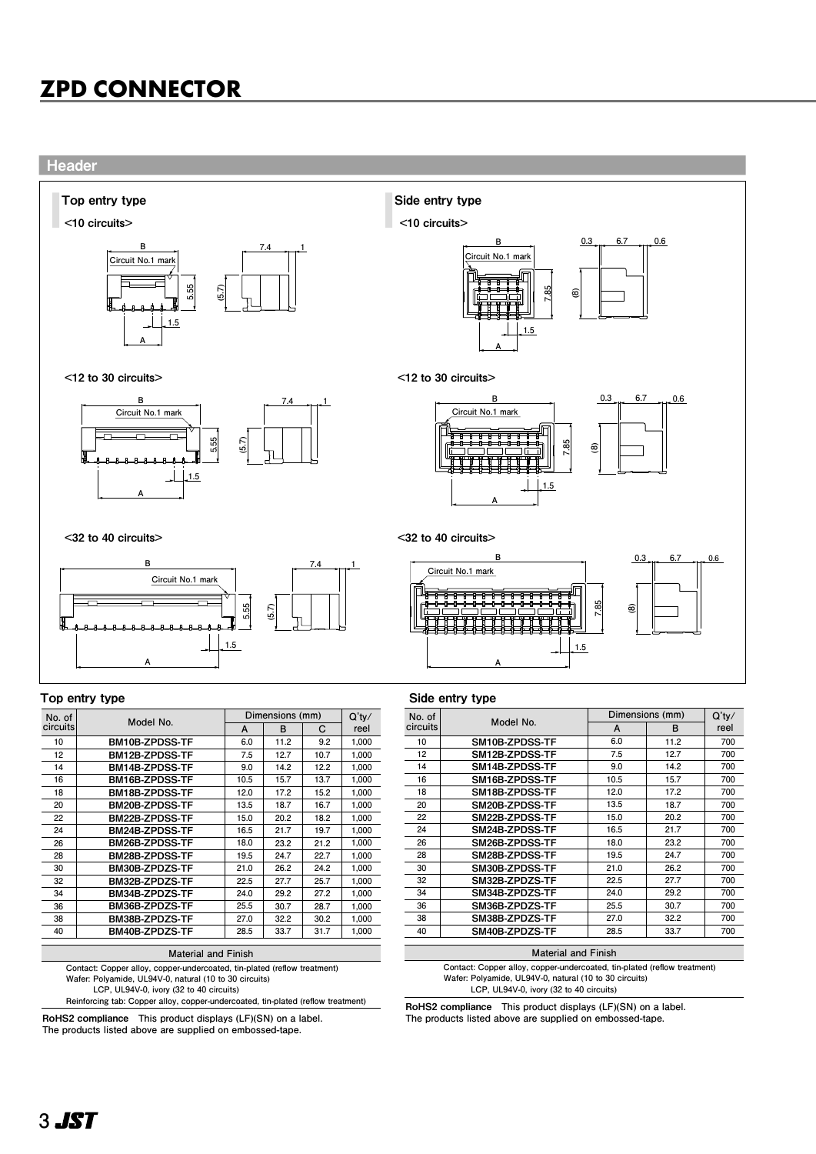

**Contact: Copper alloy, copper-undercoated, tin-plated (reflow treatment)**

**Wafer: Polyamide, UL94V-0, natural (10 to 30 circuits) LCP, UL94V-0, ivory (32 to 40 circuits)** 

BM20B-ZPDSS-TF BM22B-ZPDSS-TF BM24B-ZPDSS-TF BM26B-ZPDSS-TF BM28B-ZPDSS-TF BM30B-ZPDZS-TF BM32B-ZPDZS-TF BM34B-ZPDZS-TF BM36B-ZPDZS-TF BM38B-ZPDZS-TF BM40B-ZPDZS-TF

**Reinforcing tab: Copper alloy, copper-undercoated, tin-plated (reflow treatment)**

**Material and Finish**

**18.7 20.2 21.7 23.2 24.7 26.2 27.7 29.2 30.7 32.2 33.7**

**13.5 15.0 16.5 18.0 19.5 21.0 22.5 24.0 25.5 27.0 28.5**

**1,000 1,000 1,000 1,000 1,000 1,000 1,000 1,000 1,000 1,000 1,000**

**16.7 18.2 19.7 21.2 22.7 24.2 25.7 27.2 28.7 30.2 31.7**

RoHS2 compliance **This product displays (LF)(SN) on a label. The products listed above are supplied on embossed-tape.**

| No. of   | Model No.      | Dimensions (mm) | $Q'$ ty/ |      |
|----------|----------------|-----------------|----------|------|
| circuits |                | A               | в        | reel |
| 10       | SM10B-ZPDSS-TF | 6.0             | 11.2     | 700  |
| 12       | SM12B-ZPDSS-TF | 7.5             | 12.7     | 700  |
| 14       | SM14B-ZPDSS-TF | 9.0             | 14.2     | 700  |
| 16       | SM16B-ZPDSS-TF | 10.5            | 15.7     | 700  |
| 18       | SM18B-ZPDSS-TF | 12.0            | 17.2     | 700  |
| 20       | SM20B-ZPDSS-TF | 13.5            | 18.7     | 700  |
| 22       | SM22B-ZPDSS-TF | 15.0            | 20.2     | 700  |
| 24       | SM24B-ZPDSS-TF | 16.5            | 21.7     | 700  |
| 26       | SM26B-ZPDSS-TF | 18.0            | 23.2     | 700  |
| 28       | SM28B-ZPDSS-TF | 19.5            | 24.7     | 700  |
| 30       | SM30B-ZPDSS-TF | 21.0            | 26.2     | 700  |
| 32       | SM32B-ZPDZS-TF | 22.5            | 27.7     | 700  |
| 34       | SM34B-ZPDZS-TF | 24.0            | 29.2     | 700  |
| 36       | SM36B-ZPDZS-TF | 25.5            | 30.7     | 700  |
| 38       | SM38B-ZPDZS-TF | 27.0            | 32.2     | 700  |
| 40       | SM40B-ZPDZS-TF | 28.5            | 33.7     | 700  |
|          |                |                 |          |      |

#### **Material and Finish**

**Contact: Copper alloy, copper-undercoated, tin-plated (reflow treatment) Wafer: Polyamide, UL94V-0, natural (10 to 30 circuits) LCP, UL94V-0, ivory (32 to 40 circuits)** 

RoHS2 compliance **This product displays (LF)(SN) on a label. The products listed above are supplied on embossed-tape.**